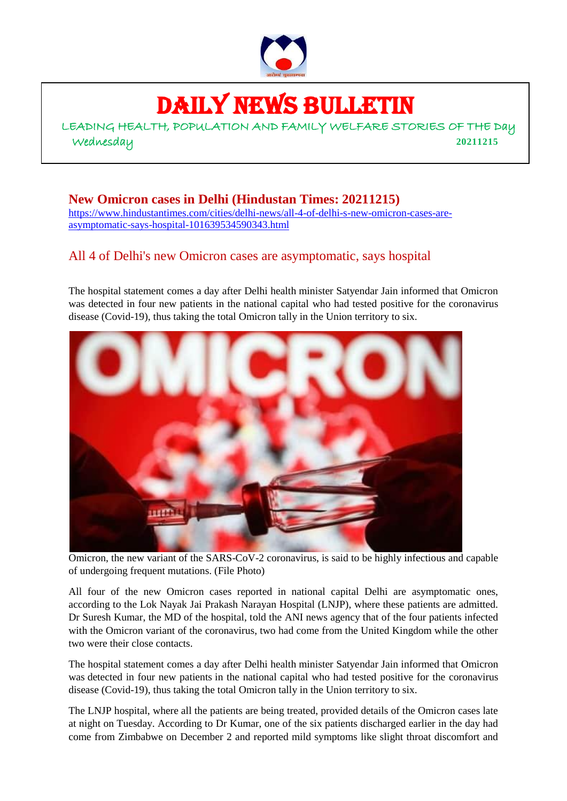

# DAILY NEWS BULLETIN

LEADING HEALTH, POPULATION AND FAMILY WELFARE STORIES OF THE Day Wednesday **20211215**

**New Omicron cases in Delhi (Hindustan Times: 20211215)** [https://www.hindustantimes.com/cities/delhi-news/all-4-of-delhi-s-new-omicron-cases-are](https://www.hindustantimes.com/cities/delhi-news/all-4-of-delhi-s-new-omicron-cases-are-asymptomatic-says-hospital-101639534590343.html)[asymptomatic-says-hospital-101639534590343.html](https://www.hindustantimes.com/cities/delhi-news/all-4-of-delhi-s-new-omicron-cases-are-asymptomatic-says-hospital-101639534590343.html)

# All 4 of Delhi's new Omicron cases are asymptomatic, says hospital

The hospital statement comes a day after Delhi health minister Satyendar Jain informed that Omicron was detected in four new patients in the national capital who had tested positive for the coronavirus disease (Covid-19), thus taking the total Omicron tally in the Union territory to six.



Omicron, the new variant of the SARS-CoV-2 coronavirus, is said to be highly infectious and capable of undergoing frequent mutations. (File Photo)

All four of the new Omicron cases reported in national capital Delhi are asymptomatic ones, according to the Lok Nayak Jai Prakash Narayan Hospital (LNJP), where these patients are admitted. Dr Suresh Kumar, the MD of the hospital, told the ANI news agency that of the four patients infected with the Omicron variant of the coronavirus, two had come from the United Kingdom while the other two were their close contacts.

The hospital statement comes a day after Delhi health minister Satyendar Jain informed that Omicron was [detected in four new patients](https://www.hindustantimes.com/cities/delhi-news/delhi-reports-4-more-cases-of-omicron-tally-rises-to-6-101639464749811.html) in the national capital who had tested positive for the coronavirus disease (Covid-19), thus taking the total Omicron tally in the Union territory to six.

The LNJP hospital, where all the patients are being treated, provided details of the Omicron cases late at night on Tuesday. According to Dr Kumar, one of the six patients discharged earlier in the day had come from Zimbabwe on December 2 and reported mild symptoms like slight throat discomfort and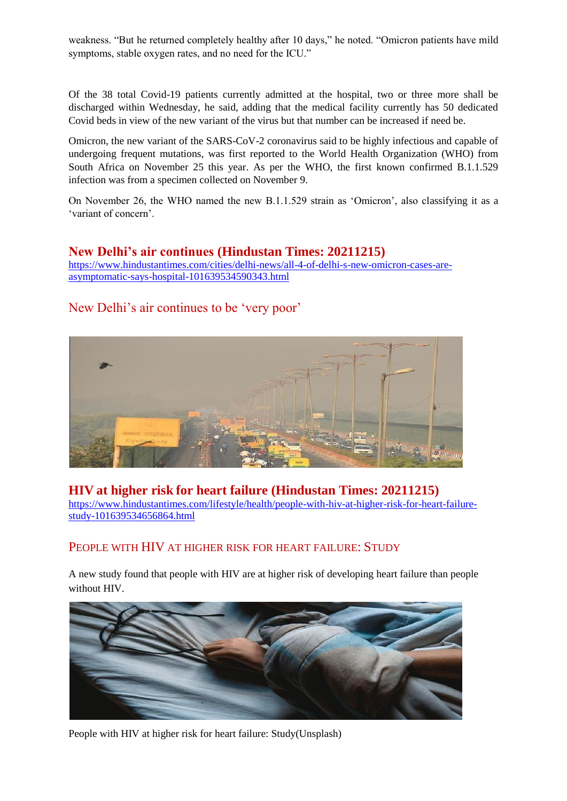weakness. "But he returned completely healthy after 10 days," he noted. "Omicron patients have mild symptoms, stable oxygen rates, and no need for the ICU."

Of the 38 total Covid-19 patients currently admitted at the hospital, two or three more shall be discharged within Wednesday, he said, adding that the medical facility currently has 50 dedicated Covid beds in view of the new variant of the virus but that number can be increased if need be.

Omicron, the new variant of the SARS-CoV-2 coronavirus said to be highly infectious and capable of undergoing frequent mutations, was first reported to the World Health Organization (WHO) from South Africa on November 25 this year. As per the WHO, the first known confirmed B.1.1.529 infection was from a specimen collected on November 9.

On November 26, the WHO named the new B.1.1.529 strain as 'Omicron', also classifying it as a 'variant of concern'.

#### **New Delhi's air continues (Hindustan Times: 20211215)**

[https://www.hindustantimes.com/cities/delhi-news/all-4-of-delhi-s-new-omicron-cases-are](https://www.hindustantimes.com/cities/delhi-news/all-4-of-delhi-s-new-omicron-cases-are-asymptomatic-says-hospital-101639534590343.html)[asymptomatic-says-hospital-101639534590343.html](https://www.hindustantimes.com/cities/delhi-news/all-4-of-delhi-s-new-omicron-cases-are-asymptomatic-says-hospital-101639534590343.html)

### [New Delhi's air continues to be 'very poor'](https://www.hindustantimes.com/cities/delhi-news/delhi-air-continues-to-be-very-poor-101639540279132.html)



#### **HIV at higher risk for heart failure (Hindustan Times: 20211215)**

[https://www.hindustantimes.com/lifestyle/health/people-with-hiv-at-higher-risk-for-heart-failure](https://www.hindustantimes.com/lifestyle/health/people-with-hiv-at-higher-risk-for-heart-failure-study-101639534656864.html)[study-101639534656864.html](https://www.hindustantimes.com/lifestyle/health/people-with-hiv-at-higher-risk-for-heart-failure-study-101639534656864.html)

#### PEOPLE WITH HIV AT HIGHER RISK FOR HEART FAILURE: STUDY

A new study found that people with HIV are at higher risk of developing heart failure than people without HIV.



People with HIV at higher risk for heart failure: Study(Unsplash)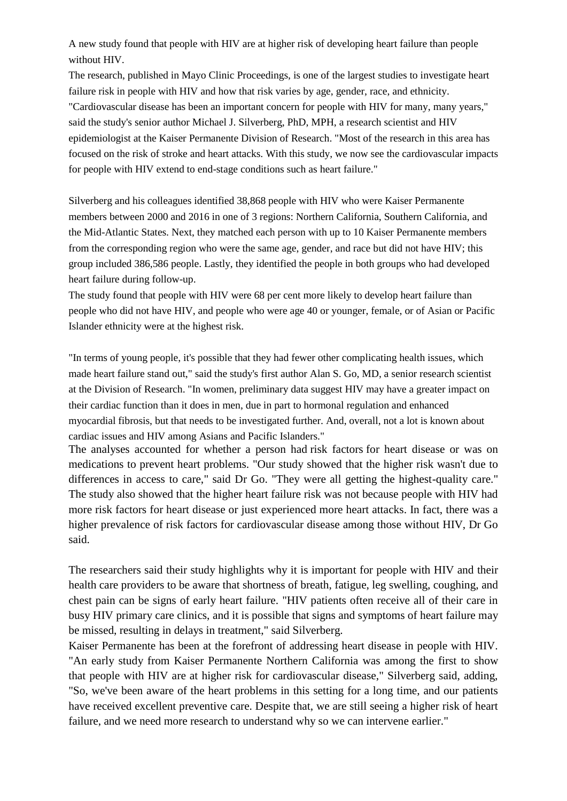A new study found that people with HIV are at higher risk of developing heart failure than people without HIV.

The research, published in Mayo Clinic Proceedings, is one of the largest studies to investigate heart failure risk in people with HIV and how that risk varies by age, gender, race, and ethnicity. "Cardiovascular disease has been an important concern for people with HIV for many, many years," said the study's senior author Michael J. Silverberg, PhD, MPH, a research scientist and HIV epidemiologist at the Kaiser Permanente Division of Research. "Most of the research in this area has focused on the risk of stroke and heart attacks. With this study, we now see the cardiovascular impacts for people with HIV extend to end-stage conditions such as [heart](https://www.hindustantimes.com/lifestyle/health/prevent-heart-attack-in-winter-season-with-these-easy-yoga-tips-and-asanas-101637665328840.html) failure."

Silverberg and his colleagues identified 38,868 people with HIV who were Kaiser Permanente members between 2000 and 2016 in one of 3 regions: Northern California, Southern California, and the Mid-Atlantic States. Next, they matched each person with up to 10 Kaiser Permanente members from the corresponding region who were the same age, gender, and race but did not have HIV; this group included 386,586 people. Lastly, they identified the people in both groups who had developed heart [failure](https://www.hindustantimes.com/lifestyle/health/winter-can-increase-risk-of-heart-attack-tips-to-take-care-of-your-heart-101637063173114.html) during follow-up.

The study found that people with HIV were 68 per cent more likely to develop heart failure than people who did not have HIV, and people who were age 40 or younger, female, or of Asian or Pacific Islander ethnicity were at the highest risk.

"In terms of young people, it's possible that they had fewer other complicating health issues, which made heart failure stand out," said the study's first author Alan S. Go, MD, a senior research scientist at the Division of Research. "In women, preliminary data suggest HIV may have a greater impact on their cardiac function than it does in men, due in part to hormonal regulation and enhanced myocardial fibrosis, but that needs to be investigated further. And, overall, not a lot is known about cardiac issues and HIV among Asians and Pacific Islanders."

The analyses accounted for whether a person had [risk factors](https://www.hindustantimes.com/lifestyle/health/air-pollution-road-traffic-noise-may-increase-heart-failure-risk-study-101633875240339.html) for heart disease or was on medications to prevent heart problems. "Our study showed that the higher risk wasn't due to differences in access to care," said Dr Go. "They were all getting the highest-quality care." The study also showed that the higher heart failure risk was not because people with HIV had more risk factors for heart disease or just experienced more heart attacks. In fact, there was a higher prevalence of risk factors for cardiovascular disease among those without HIV, Dr Go said.

The researchers said their study highlights why it is important for people with HIV and their health care providers to be aware that shortness of breath, fatigue, leg swelling, coughing, and chest pain can be signs of early heart failure. "HIV patients often receive all of their care in busy HIV primary care clinics, and it is possible that signs and symptoms of heart failure may be missed, resulting in delays in treatment," said Silverberg.

Kaiser Permanente has been at the forefront of addressing heart disease in people with HIV. "An early study from Kaiser Permanente Northern California was among the first to show that people with HIV are at higher risk for cardiovascular disease," Silverberg said, adding, "So, we've been aware of the heart problems in this setting for a long time, and our patients have received excellent preventive care. Despite that, we are still seeing a higher risk of heart failure, and we need more research to understand why so we can intervene earlier."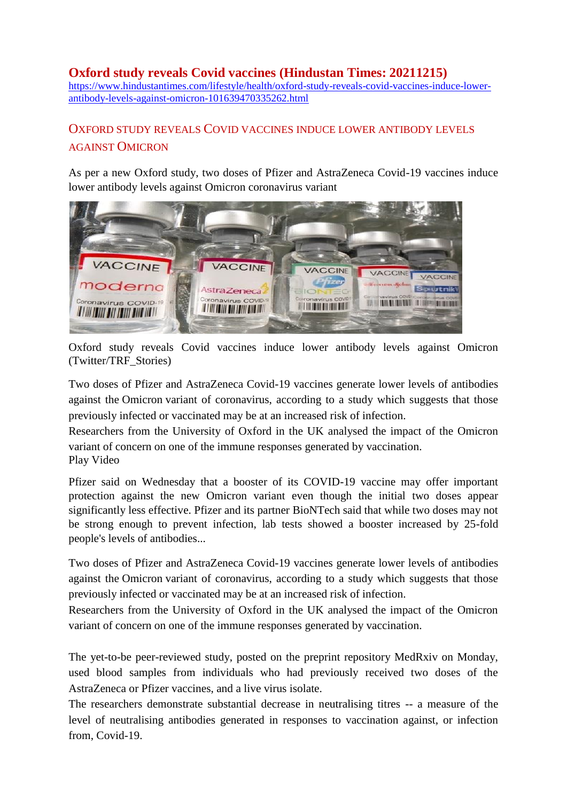## **Oxford study reveals Covid vaccines (Hindustan Times: 20211215)**

[https://www.hindustantimes.com/lifestyle/health/oxford-study-reveals-covid-vaccines-induce-lower](https://www.hindustantimes.com/lifestyle/health/oxford-study-reveals-covid-vaccines-induce-lower-antibody-levels-against-omicron-101639470335262.html)[antibody-levels-against-omicron-101639470335262.html](https://www.hindustantimes.com/lifestyle/health/oxford-study-reveals-covid-vaccines-induce-lower-antibody-levels-against-omicron-101639470335262.html)

# OXFORD STUDY REVEALS COVID VACCINES INDUCE LOWER ANTIBODY LEVELS AGAINST OMICRON

As per a new Oxford study, two doses of Pfizer and AstraZeneca Covid-19 vaccines induce lower antibody levels against Omicron coronavirus variant



Oxford study reveals Covid vaccines induce lower antibody levels against Omicron (Twitter/TRF\_Stories)

Two doses of Pfizer and AstraZeneca Covid-19 vaccines generate lower levels of antibodies against the [Omicron](https://www.hindustantimes.com/topic/Omicron) variant of coronavirus, according to a study which suggests that those previously infected or vaccinated may be at an increased risk of infection.

Researchers from the University of Oxford in the UK analysed the impact of the Omicron variant of concern on one of the immune responses generated by vaccination. Play Video

Pfizer said on Wednesday that a booster of its COVID-19 vaccine may offer important protection against the new Omicron variant even though the initial two doses appear significantly less effective. Pfizer and its partner BioNTech said that while two doses may not be strong enough to prevent infection, lab tests showed a booster increased by 25-fold people's levels of antibodies...

Two doses of Pfizer and AstraZeneca Covid-19 vaccines generate lower levels of antibodies against the [Omicron](https://www.hindustantimes.com/topic/Omicron) variant of coronavirus, according to a study which suggests that those previously infected or vaccinated may be at an increased risk of infection.

Researchers from the University of Oxford in the UK analysed the impact of the Omicron variant of concern on one of the immune responses generated by vaccination.

The yet-to-be peer-reviewed study, posted on the preprint repository MedRxiv on Monday, used blood samples from individuals who had previously received two doses of the AstraZeneca or Pfizer vaccines, and a live virus isolate.

The researchers demonstrate substantial decrease in neutralising titres -- a measure of the level of neutralising antibodies generated in responses to vaccination against, or infection from, Covid-19.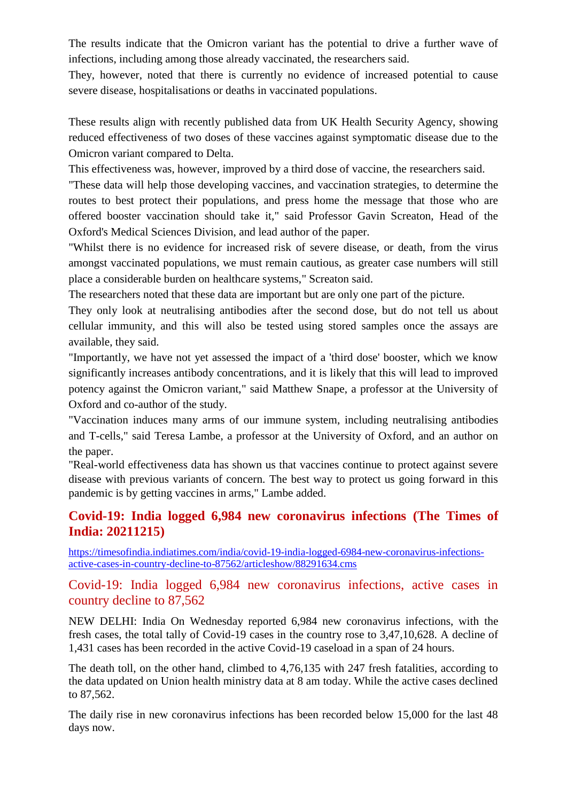The results indicate that the Omicron variant has the potential to drive a further wave of infections, including among those already vaccinated, the researchers said.

They, however, noted that there is currently no evidence of increased potential to cause severe disease, hospitalisations or deaths in vaccinated populations.

These results align with recently published data from UK Health Security Agency, showing reduced effectiveness of two doses of these vaccines against symptomatic disease due to the Omicron variant compared to Delta.

This effectiveness was, however, improved by a third dose of vaccine, the researchers said.

"These data will help those developing vaccines, and vaccination strategies, to determine the routes to best protect their populations, and press home the message that those who are offered booster vaccination should take it," said Professor Gavin Screaton, Head of the Oxford's Medical Sciences Division, and lead author of the paper.

"Whilst there is no evidence for increased risk of severe disease, or death, from the virus amongst vaccinated populations, we must remain cautious, as greater case numbers will still place a considerable burden on healthcare systems," Screaton said.

The researchers noted that these data are important but are only one part of the picture.

They only look at neutralising antibodies after the second dose, but do not tell us about cellular immunity, and this will also be tested using stored samples once the assays are available, they said.

"Importantly, we have not yet assessed the impact of a 'third dose' booster, which we know significantly increases antibody concentrations, and it is likely that this will lead to improved potency against the Omicron variant," said Matthew Snape, a professor at the University of Oxford and co-author of the study.

"Vaccination induces many arms of our immune system, including neutralising antibodies and T-cells," said Teresa Lambe, a professor at the University of Oxford, and an author on the paper.

"Real-world effectiveness data has shown us that vaccines continue to protect against severe disease with previous variants of concern. The best way to protect us going forward in this pandemic is by getting vaccines in arms," Lambe added.

## **Covid-19: India logged 6,984 new coronavirus infections (The Times of India: 20211215)**

[https://timesofindia.indiatimes.com/india/covid-19-india-logged-6984-new-coronavirus-infections](https://timesofindia.indiatimes.com/india/covid-19-india-logged-6984-new-coronavirus-infections-active-cases-in-country-decline-to-87562/articleshow/88291634.cms)[active-cases-in-country-decline-to-87562/articleshow/88291634.cms](https://timesofindia.indiatimes.com/india/covid-19-india-logged-6984-new-coronavirus-infections-active-cases-in-country-decline-to-87562/articleshow/88291634.cms)

Covid-19: India logged 6,984 new coronavirus infections, active cases in country decline to 87,562

NEW DELHI: India On Wednesday reported 6,984 new coronavirus infections, with the fresh cases, the total tally of Covid-19 cases in the country rose to 3,47,10,628. A decline of 1,431 cases has been recorded in the active Covid-19 caseload in a span of 24 hours.

The death toll, on the other hand, climbed to 4,76,135 with 247 fresh fatalities, according to the data updated on Union health ministry data at 8 am today. While the active cases declined to 87,562.

The daily rise in new coronavirus infections has been recorded below 15,000 for the last 48 days now.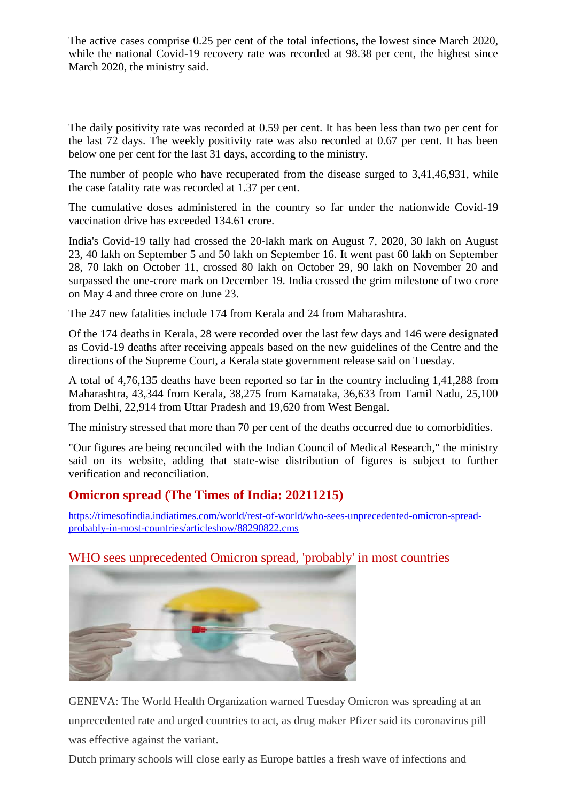The active cases comprise 0.25 per cent of the total infections, the lowest since March 2020, while the national Covid-19 recovery rate was recorded at 98.38 per cent, the highest since March 2020, the ministry said.

The daily positivity rate was recorded at 0.59 per cent. It has been less than two per cent for the last 72 days. The weekly positivity rate was also recorded at 0.67 per cent. It has been below one per cent for the last 31 days, according to the ministry.

The number of people who have recuperated from the disease surged to 3,41,46,931, while the case fatality rate was recorded at 1.37 per cent.

The cumulative doses administered in the country so far under the nationwide Covid-19 vaccination drive has exceeded 134.61 crore.

India's Covid-19 tally had crossed the 20-lakh mark on August 7, 2020, 30 lakh on August 23, 40 lakh on September 5 and 50 lakh on September 16. It went past 60 lakh on September 28, 70 lakh on October 11, crossed 80 lakh on October 29, 90 lakh on November 20 and surpassed the one-crore mark on December 19. India crossed the grim milestone of two crore on May 4 and three crore on June 23.

The 247 new fatalities include 174 from Kerala and 24 from Maharashtra.

Of the 174 deaths in Kerala, 28 were recorded over the last few days and 146 were designated as Covid-19 deaths after receiving appeals based on the new guidelines of the Centre and the directions of the Supreme Court, a Kerala state government release said on Tuesday.

A total of 4,76,135 deaths have been reported so far in the country including 1,41,288 from Maharashtra, 43,344 from Kerala, 38,275 from Karnataka, 36,633 from Tamil Nadu, 25,100 from Delhi, 22,914 from Uttar Pradesh and 19,620 from West Bengal.

The ministry stressed that more than 70 per cent of the deaths occurred due to comorbidities.

"Our figures are being reconciled with the Indian Council of Medical Research," the ministry said on its website, adding that state-wise distribution of figures is subject to further verification and reconciliation.

# **Omicron spread (The Times of India: 20211215)**

[https://timesofindia.indiatimes.com/world/rest-of-world/who-sees-unprecedented-omicron-spread](https://timesofindia.indiatimes.com/world/rest-of-world/who-sees-unprecedented-omicron-spread-probably-in-most-countries/articleshow/88290822.cms)[probably-in-most-countries/articleshow/88290822.cms](https://timesofindia.indiatimes.com/world/rest-of-world/who-sees-unprecedented-omicron-spread-probably-in-most-countries/articleshow/88290822.cms)

# WHO sees unprecedented Omicron spread, 'probably' in most countries



GENEVA: The World Health Organization warned Tuesday Omicron was spreading at an unprecedented rate and urged countries to act, as drug maker Pfizer said its coronavirus pill was effective against the variant.

Dutch primary schools will close early as Europe battles a fresh wave of infections and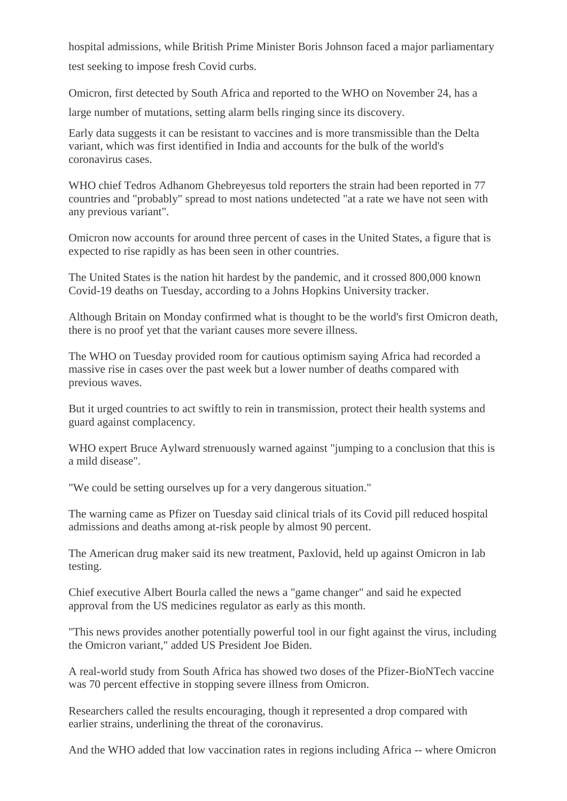hospital admissions, while British Prime Minister Boris Johnson faced a major parliamentary test seeking to impose fresh Covid curbs.

Omicron, first detected by South Africa and reported to the WHO on November 24, has a large number of mutations, setting alarm bells ringing since its discovery.

Early data suggests it can be resistant to vaccines and is more transmissible than the Delta variant, which was first identified in India and accounts for the bulk of the world's coronavirus cases.

WHO chief Tedros Adhanom Ghebreyesus told reporters the strain had been reported in 77 countries and "probably" spread to most nations undetected "at a rate we have not seen with any previous variant".

Omicron now accounts for around three percent of cases in the United States, a figure that is expected to rise rapidly as has been seen in other countries.

The United States is the nation hit hardest by the pandemic, and it crossed 800,000 known Covid-19 deaths on Tuesday, according to a Johns Hopkins University tracker.

Although Britain on Monday confirmed what is thought to be the world's first Omicron death, there is no proof yet that the variant causes more severe illness.

The WHO on Tuesday provided room for cautious optimism saying Africa had recorded a massive rise in cases over the past week but a lower number of deaths compared with previous waves.

But it urged countries to act swiftly to rein in transmission, protect their health systems and guard against complacency.

WHO expert Bruce Aylward strenuously warned against "jumping to a conclusion that this is a mild disease".

"We could be setting ourselves up for a very dangerous situation."

The warning came as Pfizer on Tuesday said clinical trials of its Covid pill reduced hospital admissions and deaths among at-risk people by almost 90 percent.

The American drug maker said its new treatment, Paxlovid, held up against Omicron in lab testing.

Chief executive Albert Bourla called the news a "game changer" and said he expected approval from the US medicines regulator as early as this month.

"This news provides another potentially powerful tool in our fight against the virus, including the Omicron variant," added US President Joe Biden.

A real-world study from South Africa has showed two doses of the Pfizer-BioNTech vaccine was 70 percent effective in stopping severe illness from Omicron.

Researchers called the results encouraging, though it represented a drop compared with earlier strains, underlining the threat of the coronavirus.

And the WHO added that low vaccination rates in regions including Africa -- where Omicron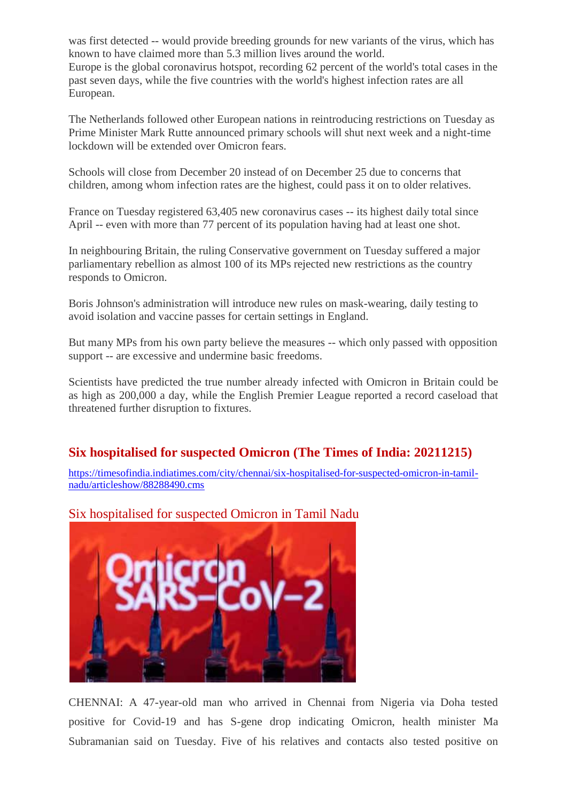was first detected -- would provide breeding grounds for new variants of the virus, which has known to have claimed more than 5.3 million lives around the world. Europe is the global coronavirus hotspot, recording 62 percent of the world's total cases in the past seven days, while the five countries with the world's highest infection rates are all European.

The Netherlands followed other European nations in reintroducing restrictions on Tuesday as Prime Minister Mark Rutte announced primary schools will shut next week and a night-time lockdown will be extended over Omicron fears.

Schools will close from December 20 instead of on December 25 due to concerns that children, among whom infection rates are the highest, could pass it on to older relatives.

France on Tuesday registered 63,405 new coronavirus cases -- its highest daily total since April -- even with more than 77 percent of its population having had at least one shot.

In neighbouring Britain, the ruling Conservative government on Tuesday suffered a major parliamentary rebellion as almost 100 of its MPs rejected new restrictions as the country responds to Omicron.

Boris Johnson's administration will introduce new rules on mask-wearing, daily testing to avoid isolation and vaccine passes for certain settings in England.

But many MPs from his own party believe the measures -- which only passed with opposition support -- are excessive and undermine basic freedoms.

Scientists have predicted the true number already infected with Omicron in Britain could be as high as 200,000 a day, while the English Premier League reported a record caseload that threatened further disruption to fixtures.

# **Six hospitalised for suspected Omicron (The Times of India: 20211215)**

[https://timesofindia.indiatimes.com/city/chennai/six-hospitalised-for-suspected-omicron-in-tamil](https://timesofindia.indiatimes.com/city/chennai/six-hospitalised-for-suspected-omicron-in-tamil-nadu/articleshow/88288490.cms)[nadu/articleshow/88288490.cms](https://timesofindia.indiatimes.com/city/chennai/six-hospitalised-for-suspected-omicron-in-tamil-nadu/articleshow/88288490.cms)



Six hospitalised for suspected Omicron in Tamil Nadu

CHENNAI: A 47-year-old man who arrived in Chennai from Nigeria via Doha tested positive for Covid-19 and has S-gene drop indicating Omicron, health minister Ma Subramanian said on Tuesday. Five of his relatives and contacts also tested positive on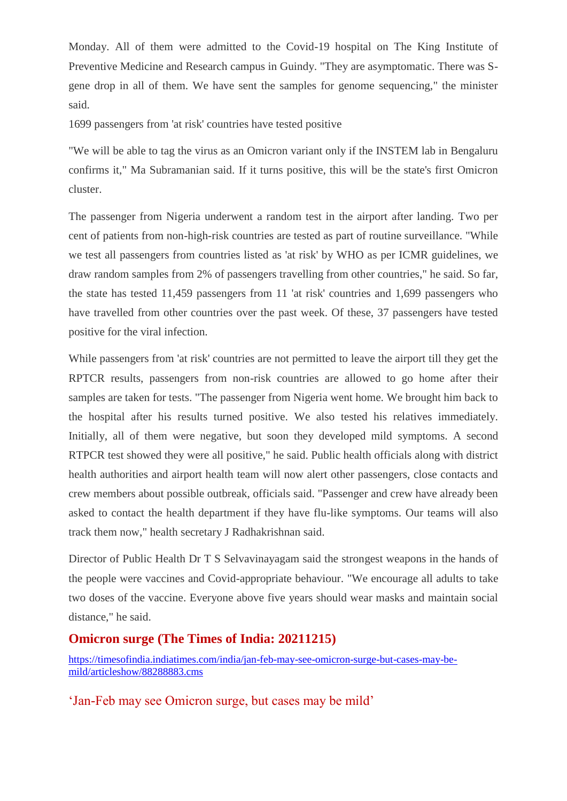Monday. All of them were admitted to the Covid-19 hospital on The King Institute of Preventive Medicine and Research campus in Guindy. "They are asymptomatic. There was Sgene drop in all of them. We have sent the samples for genome sequencing," the minister said.

1699 passengers from 'at risk' countries have tested positive

"We will be able to tag the virus as an Omicron variant only if the INSTEM lab in Bengaluru confirms it," Ma Subramanian said. If it turns positive, this will be the state's first Omicron cluster.

The passenger from Nigeria underwent a random test in the airport after landing. Two per cent of patients from non-high-risk countries are tested as part of routine surveillance. "While we test all passengers from countries listed as 'at risk' by WHO as per ICMR guidelines, we draw random samples from 2% of passengers travelling from other countries," he said. So far, the state has tested 11,459 passengers from 11 'at risk' countries and 1,699 passengers who have travelled from other countries over the past week. Of these, 37 passengers have tested positive for the viral infection.

While passengers from 'at risk' countries are not permitted to leave the airport till they get the RPTCR results, passengers from non-risk countries are allowed to go home after their samples are taken for tests. "The passenger from Nigeria went home. We brought him back to the hospital after his results turned positive. We also tested his relatives immediately. Initially, all of them were negative, but soon they developed mild symptoms. A second RTPCR test showed they were all positive," he said. Public health officials along with district health authorities and airport health team will now alert other passengers, close contacts and crew members about possible outbreak, officials said. "Passenger and crew have already been asked to contact the health department if they have flu-like symptoms. Our teams will also track them now," health secretary J Radhakrishnan said.

Director of Public Health Dr T S Selvavinayagam said the strongest weapons in the hands of the people were vaccines and Covid-appropriate behaviour. "We encourage all adults to take two doses of the vaccine. Everyone above five years should wear masks and maintain social distance," he said.

# **Omicron surge (The Times of India: 20211215)**

[https://timesofindia.indiatimes.com/india/jan-feb-may-see-omicron-surge-but-cases-may-be](https://timesofindia.indiatimes.com/india/jan-feb-may-see-omicron-surge-but-cases-may-be-mild/articleshow/88288883.cms)[mild/articleshow/88288883.cms](https://timesofindia.indiatimes.com/india/jan-feb-may-see-omicron-surge-but-cases-may-be-mild/articleshow/88288883.cms)

'Jan-Feb may see Omicron surge, but cases may be mild'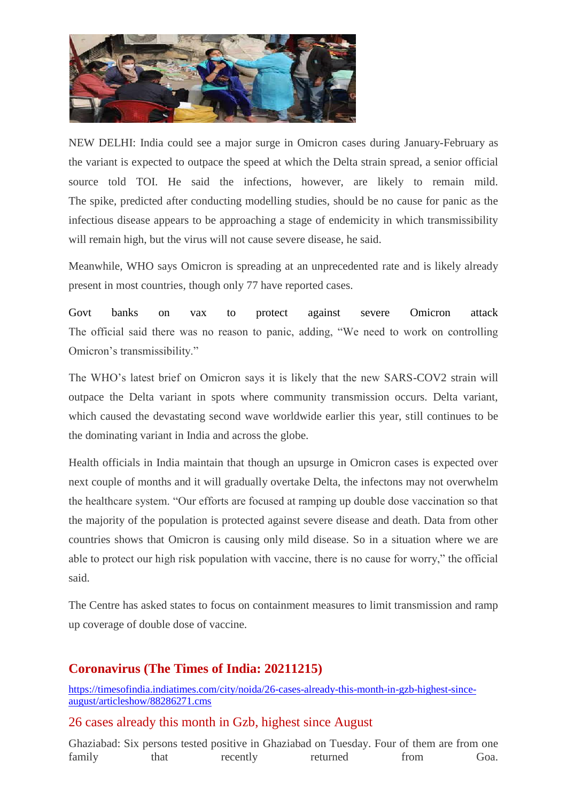

NEW DELHI: India could see a major surge in Omicron cases during January-February as the variant is expected to outpace the speed at which the Delta strain spread, a senior official source told TOI. He said the infections, however, are likely to remain mild. The spike, predicted after conducting modelling studies, should be no cause for panic as the infectious disease appears to be approaching a stage of endemicity in which transmissibility will remain high, but the virus will not cause severe disease, he said.

Meanwhile, WHO says Omicron is spreading at an unprecedented rate and is likely already present in most countries, though only 77 have reported cases.

Govt banks on vax to protect against severe Omicron attack The official said there was no reason to panic, adding, "We need to work on controlling Omicron's transmissibility."

The WHO's latest brief on Omicron says it is likely that the new SARS-COV2 strain will outpace the Delta variant in spots where community transmission occurs. Delta variant, which caused the devastating second wave worldwide earlier this year, still continues to be the dominating variant in India and across the globe.

Health officials in India maintain that though an upsurge in Omicron cases is expected over next couple of months and it will gradually overtake Delta, the infectons may not overwhelm the healthcare system. "Our efforts are focused at ramping up double dose vaccination so that the majority of the population is protected against severe disease and death. Data from other countries shows that Omicron is causing only mild disease. So in a situation where we are able to protect our high risk population with vaccine, there is no cause for worry," the official said.

The Centre has asked states to focus on containment measures to limit transmission and ramp up coverage of double dose of vaccine.

# **Coronavirus (The Times of India: 20211215)**

[https://timesofindia.indiatimes.com/city/noida/26-cases-already-this-month-in-gzb-highest-since](https://timesofindia.indiatimes.com/city/noida/26-cases-already-this-month-in-gzb-highest-since-august/articleshow/88286271.cms)[august/articleshow/88286271.cms](https://timesofindia.indiatimes.com/city/noida/26-cases-already-this-month-in-gzb-highest-since-august/articleshow/88286271.cms)

#### 26 cases already this month in Gzb, highest since August

Ghaziabad: Six persons tested positive in Ghaziabad on Tuesday. Four of them are from one family that recently returned from Goa.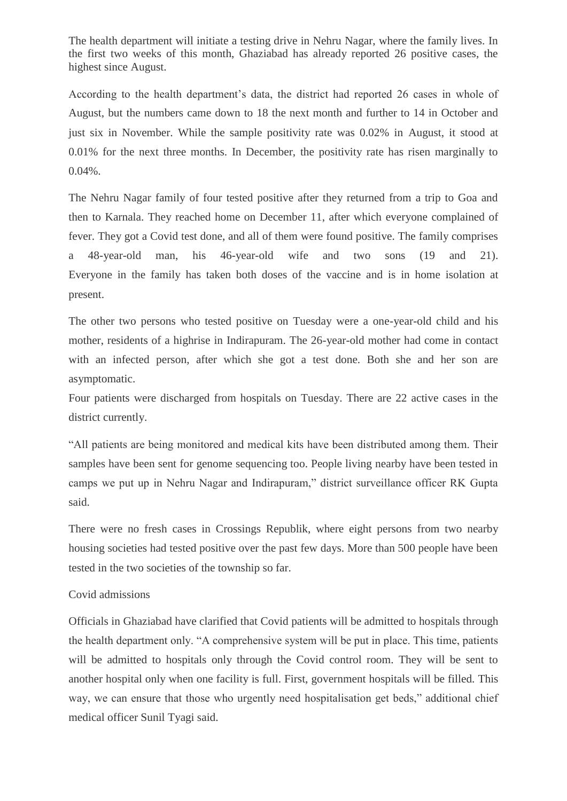The health department will initiate a testing drive in Nehru Nagar, where the family lives. In the first two weeks of this month, Ghaziabad has already reported 26 positive cases, the highest since August.

According to the health department's data, the district had reported 26 cases in whole of August, but the numbers came down to 18 the next month and further to 14 in October and just six in November. While the sample positivity rate was 0.02% in August, it stood at 0.01% for the next three months. In December, the positivity rate has risen marginally to 0.04%.

The Nehru Nagar family of four tested positive after they returned from a trip to Goa and then to Karnala. They reached home on December 11, after which everyone complained of fever. They got a Covid test done, and all of them were found positive. The family comprises a 48-year-old man, his 46-year-old wife and two sons (19 and 21). Everyone in the family has taken both doses of the vaccine and is in home isolation at present.

The other two persons who tested positive on Tuesday were a one-year-old child and his mother, residents of a highrise in Indirapuram. The 26-year-old mother had come in contact with an infected person, after which she got a test done. Both she and her son are asymptomatic.

Four patients were discharged from hospitals on Tuesday. There are 22 active cases in the district currently.

"All patients are being monitored and medical kits have been distributed among them. Their samples have been sent for genome sequencing too. People living nearby have been tested in camps we put up in Nehru Nagar and Indirapuram," district surveillance officer RK Gupta said.

There were no fresh cases in Crossings Republik, where eight persons from two nearby housing societies had tested positive over the past few days. More than 500 people have been tested in the two societies of the township so far.

#### Covid admissions

Officials in Ghaziabad have clarified that Covid patients will be admitted to hospitals through the health department only. "A comprehensive system will be put in place. This time, patients will be admitted to hospitals only through the Covid control room. They will be sent to another hospital only when one facility is full. First, government hospitals will be filled. This way, we can ensure that those who urgently need hospitalisation get beds," additional chief medical officer Sunil Tyagi said.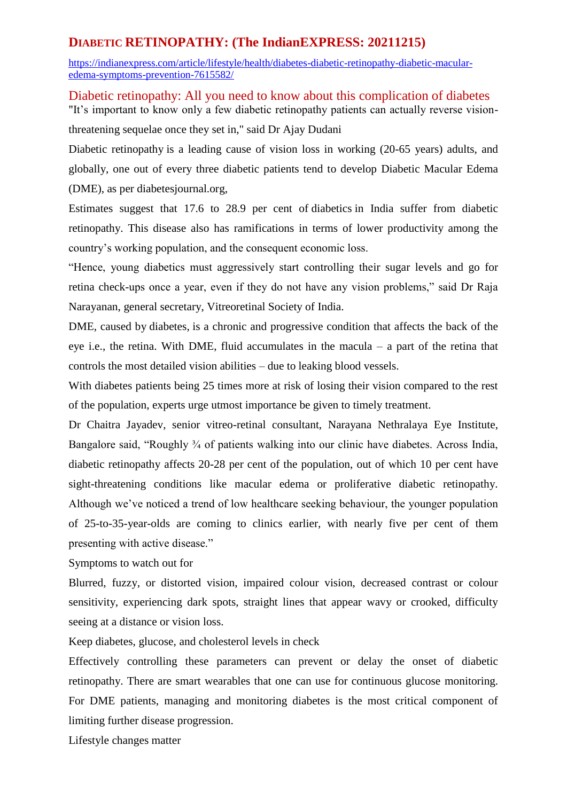# **DIABETIC RETINOPATHY: (The IndianEXPRESS: 20211215)**

[https://indianexpress.com/article/lifestyle/health/diabetes-diabetic-retinopathy-diabetic-macular](https://indianexpress.com/article/lifestyle/health/diabetes-diabetic-retinopathy-diabetic-macular-edema-symptoms-prevention-7615582/)[edema-symptoms-prevention-7615582/](https://indianexpress.com/article/lifestyle/health/diabetes-diabetic-retinopathy-diabetic-macular-edema-symptoms-prevention-7615582/)

Diabetic retinopathy: All you need to know about this complication of diabetes "It's important to know only a few diabetic retinopathy patients can actually reverse vision-

threatening sequelae once they set in," said Dr Ajay Dudani

Diabetic [retinopathy](https://indianexpress.com/article/lifestyle/health/what-is-diabetic-retinopathy-blurred-vision-diabetics-5187809/) is a leading cause of vision loss in working (20-65 years) adults, and globally, one out of every three diabetic patients tend to develop Diabetic Macular Edema (DME), as per diabetesjournal.org,

Estimates suggest that 17.6 to 28.9 per cent of [diabetics](https://indianexpress.com/article/lifestyle/health/lockdown-stress-anxiety-blood-sugar-levels-diabetics-6478734/) in India suffer from diabetic retinopathy. This disease also has ramifications in terms of lower productivity among the country's working population, and the consequent economic loss.

"Hence, young diabetics must aggressively start controlling their sugar levels and go for retina check-ups once a year, even if they do not have any vision problems," said Dr Raja Narayanan, general secretary, Vitreoretinal Society of India.

DME, caused by [diabetes,](https://indianexpress.com/article/cities/chandigarh/diabetics-must-get-regular-retina-checks-to-avoid-vision-loss/) is a chronic and progressive condition that affects the back of the eye i.e., the retina. With DME, fluid accumulates in the macula – a part of the retina that controls the most detailed vision abilities – due to leaking blood vessels.

With diabetes patients being 25 times more at risk of losing their vision compared to the rest of the population, experts urge utmost importance be given to timely treatment.

Dr Chaitra Jayadev, senior vitreo-retinal consultant, Narayana Nethralaya Eye Institute, Bangalore said, "Roughly <sup>3</sup>/<sub>4</sub> of patients walking into our clinic have diabetes. Across India, diabetic retinopathy affects 20-28 per cent of the population, out of which 10 per cent have sight-threatening conditions like macular edema or proliferative diabetic retinopathy. Although we've noticed a trend of low healthcare seeking behaviour, the younger population of 25-to-35-year-olds are coming to clinics earlier, with nearly five per cent of them presenting with active disease."

Symptoms to watch out for

Blurred, fuzzy, or distorted vision, impaired colour vision, decreased contrast or colour sensitivity, experiencing dark spots, straight lines that appear wavy or crooked, difficulty seeing at a distance or vision loss.

Keep diabetes, glucose, and cholesterol levels in check

Effectively controlling these parameters can prevent or delay the onset of diabetic retinopathy. There are smart wearables that one can use for continuous glucose monitoring. For DME patients, managing and monitoring diabetes is the most critical component of limiting further disease progression.

Lifestyle changes matter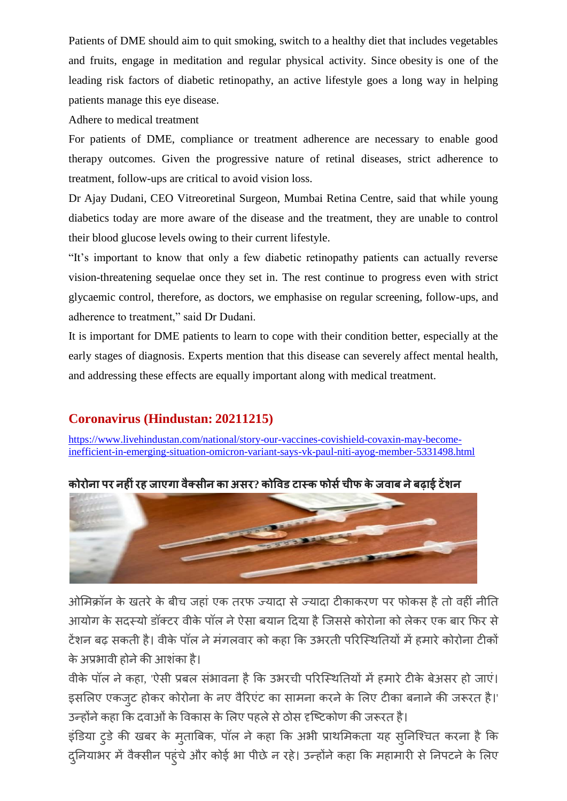Patients of DME should aim to quit smoking, switch to a healthy diet that includes vegetables and fruits, engage in meditation and regular physical activity. Since [obesity](https://indianexpress.com/article/lifestyle/health/obesity-heart-health-inflammation-body-symptoms-treatment-7422745/) is one of the leading risk factors of diabetic retinopathy, an active lifestyle goes a long way in helping patients manage this eye disease.

Adhere to medical treatment

For patients of DME, compliance or treatment adherence are necessary to enable good therapy outcomes. Given the progressive nature of retinal diseases, strict adherence to treatment, follow-ups are critical to avoid vision loss.

Dr Ajay Dudani, CEO Vitreoretinal Surgeon, Mumbai Retina Centre, said that while young diabetics today are more aware of the disease and the treatment, they are unable to control their blood glucose levels owing to their current lifestyle.

"It's important to know that only a few diabetic retinopathy patients can actually reverse vision-threatening sequelae once they set in. The rest continue to progress even with strict glycaemic control, therefore, as doctors, we emphasise on regular screening, follow-ups, and adherence to treatment," said Dr Dudani.

It is important for DME patients to learn to cope with their condition better, especially at the early stages of diagnosis. Experts mention that this disease can severely affect [mental](https://indianexpress.com/article/lifestyle/health/foods-mental-health-mind-boost-mood-healthy-eating-healthy-diet-7486386/) health, and addressing these effects are equally important along with medical treatment.

# **Coronavirus (Hindustan: 20211215)**

[https://www.livehindustan.com/national/story-our-vaccines-covishield-covaxin-may-become](https://www.livehindustan.com/national/story-our-vaccines-covishield-covaxin-may-become-inefficient-in-emerging-situation-omicron-variant-says-vk-paul-niti-ayog-member-5331498.html)[inefficient-in-emerging-situation-omicron-variant-says-vk-paul-niti-ayog-member-5331498.html](https://www.livehindustan.com/national/story-our-vaccines-covishield-covaxin-may-become-inefficient-in-emerging-situation-omicron-variant-says-vk-paul-niti-ayog-member-5331498.html)





ओमिक्रॉन के खतरे के बीच जहां एक तरफ ज्यादा से ज्यादा टीकाकरण पर फोकस है तो वहीं नीति आयोग के सदस्यो डॉक्टर वीके पॉल ने ऐसा बयान दिया है जिससे कोरोना को लेकर एक बार फिर से टेंशन बढ़ सकती है। वीके पॉल ने मंगलवार को कहा कि उभरती परिस्थितियों में हमारे कोरोना टीकों के अप्रभावी होने की आशंका है।

वीके पॉल ने कहा, 'ऐसी प्रबल संभावना है कि उभरची परिस्थितियों में हमारे टीके बेअसर हो जाएं। इसलिए एकजुट होकर कोरोना के नए वैरिएंट का सामना करने के लिए टीका बनाने की जरूरत है।' उन्होंने कहा कि दवाओं के विकास के लिए पहले से ठोस दृष्टिकोण की जरूरत है।

इंडिया टुडे की खबर के मुताबिक, पॉल ने कहा कि अभी प्राथमिकता यह सुनिश्चित करना है कि दुनियाभर में वैक्सीन पहुंचे और कोई भा पीछे न रहे। उन्होंने कहा कि महामारी से निपटने के लिए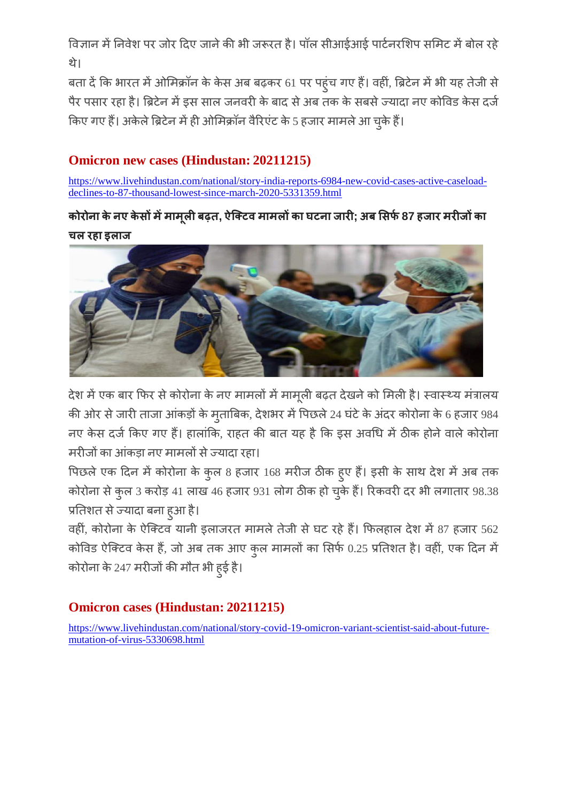विज्ञान में निवेश पर जोर दिए जाने की भी जरूरत है। पॉल सीआईआई पार्टनरशिप समिट में बोल रहे थे।

बता दें कि भारत में ओमिक्रॉन के केस अब बढ़कर 61 पर पहुंच गए हैं। वहीं, ब्रिटेन में भी यह तेजी से पैर पसार रहा है। ब्रिटेन में इस साल जनवरी के बाद से अब तक के सबसे ज्यादा नए कोविड केस दर्ज किए गए हैं। अकेले ब्रिटेन में ही ओमिक्रॉन वैरिएंट के 5 हजार मामले आ चुके हैं।

# **Omicron new cases (Hindustan: 20211215)**

[https://www.livehindustan.com/national/story-india-reports-6984-new-covid-cases-active-caseload](https://www.livehindustan.com/national/story-india-reports-6984-new-covid-cases-active-caseload-declines-to-87-thousand-lowest-since-march-2020-5331359.html)[declines-to-87-thousand-lowest-since-march-2020-5331359.html](https://www.livehindustan.com/national/story-india-reports-6984-new-covid-cases-active-caseload-declines-to-87-thousand-lowest-since-march-2020-5331359.html)

 **, ; अ 87** 

चल रहा इलाज



देश में एक बार फिर से कोरोना के नए मामलों में मामूली बढ़त देखने को मिली है। स्वास्थ्य मंत्रालय की ओर से जारी ताजा आंकड़ों के मृताबिक, देशभर में पिछले 24 घंटे के अंदर कोरोना के 6 हजार 984 नए केस दर्ज किए गए हैं। हालांकि, राहत की बात यह है कि इस अवधि में ठीक होने वाले कोरोना मरीजों का आंकडा नए मामलों से ज्यादा रहा।

पिछले एक दिन में कोरोना के कुल 8 हजार 168 मरीज ठीक हुए हैं। इसी के साथ देश में अब तक कोरोना से कुल 3 करोड़ 41 लाख 46 हजार 931 लोग ठीक हो चुके हैं। रिकवरी दर भी लगातार 98.38 प्रतिशत से ज्यादा बना हुआ है।

वहीं, कोरोना के ऐक्टिव यानी इलाजरत मामले तेजी से घट रहे हैं। फिलहाल देश में 87 हजार 562 कोविड ऐक्टिव केस हैं, जो अब तक आए कुल मामलों का सिर्फ 0.25 प्रतिशत है। वहीं, एक दिन में कोरोना के 247 मरीजों की मौत भी ह़ई है।

# **Omicron cases (Hindustan: 20211215)**

[https://www.livehindustan.com/national/story-covid-19-omicron-variant-scientist-said-about-future](https://www.livehindustan.com/national/story-covid-19-omicron-variant-scientist-said-about-future-mutation-of-virus-5330698.html)[mutation-of-virus-5330698.html](https://www.livehindustan.com/national/story-covid-19-omicron-variant-scientist-said-about-future-mutation-of-virus-5330698.html)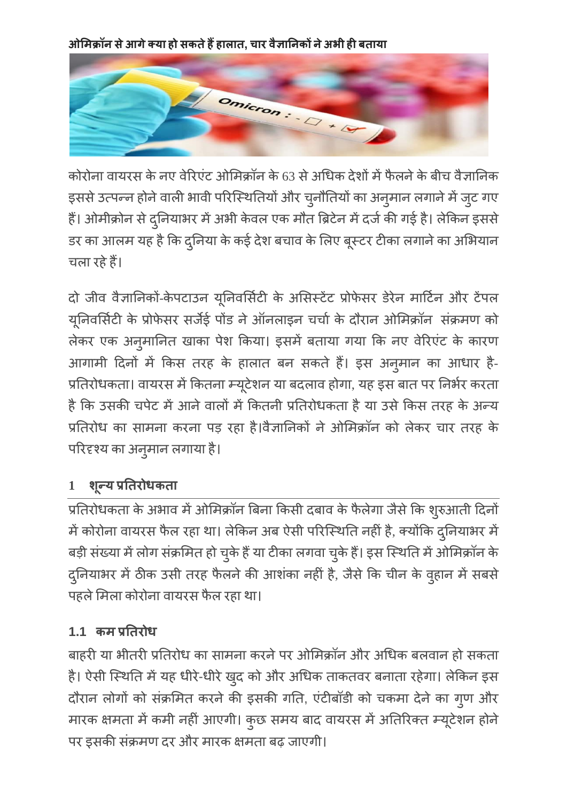आेमिक्रॉन से आगे क्या हो सकते हैं हालात, चार वैज्ञानिकों ने अभी ही बताया



कोरोना वायरस के नए वेरिएंट ओमिक्रॉन के 63 से अधिक देशों में फैलने के बीच वैज्ञानिक इससे उत्पन्न होने वाली भावी परिस्थितियों और चुनौतियों का अनुमान लगाने में जुट गए है। ओमीक्रोन से दुनियाभर में अभी केवल एक डर का आलम यह है कि दुनिया के कई देश बचाव के लिए बूर चला रहे हैं।

दो जीव वैज्ञानिकों-केपटाउन यूनिवर्सिटी के असिस्टेंट प्रोफेसर डेरेन माटिन और टेपल यूनिर्वासेटी के प्रोफेसर सर्जेई पो लेकर एक अनुमानित खाका पेश किया। इसमे बताया गया कि नए वेरिए आगामी दिनों में किस तरह के हालात बन सकते हैं। इस अनुमान का आधार है-प्रतिरोधकता। वायरस में कितना म्यूटेशन या बदलाव होगा, यह इस बात पर है कि उसकी चपेट में आने वालों में कितनी प्रतिरोधकता है या उसे किस तरह के अन्य प्रतिरोध का सामना करना पड़ रहा है।वैज्ञानिकों ने ओमिक्रॉन को लेकर चार तरह के परिदृश्य का अनुमा

# 1 **शू**न्य

प्रतिरोधकता के अभाव में ओमिक्रॉन बिना किसी दबाव के फैलेगा जैसे कि शुरुआ में कोरोना वायरस फैल रहा था। लेकिन अब ऐसी परिस्थिति नहीं है, क्योंकि दुनि बड़ी संख्या में लोग संक्रमित हो चुके हैं या टीका लगवा चुके दुनियाभर में ठीक उसी तरह फैलने की आशंका नहीं है, जैसे कि चीन के वुह पहले मिला कोरोना वायरस फैल रहा था।

# 1.1 कम प्रतिरोध

बाहरी या भीतरी प्रतिरोध का सामना करने पर ओमिक्रॉन और अधिक बलवान हो सकता है। ऐसी स्थिति में यह धीरे-धीरे खुद को और दौरान लोगों को संक्रमित करने की इसकी गति, एंटीबाँडी को चकमा देने का गुण और मारक क्षमता में कमी नहीं आएगी। कुछ समय बाद वायरस में अतिरिक्त म्यूटें पर इसकी संक्रमण दर और मारक क्षमता बढ़ जाएगी।